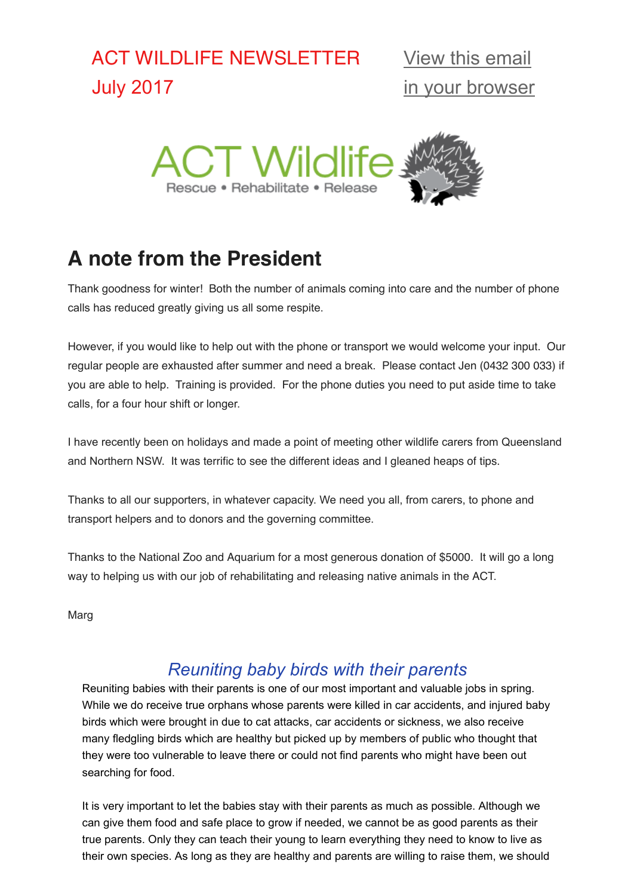# ACT WILDLIFE NEWSLETTER July 2017



# **A note from the President**

Thank goodness for winter! Both the number of animals coming into care and the number of phone calls has reduced greatly giving us all some respite.

However, if you would like to help out with the phone or transport we would welcome your input. Our regular people are exhausted after summer and need a break. Please contact Jen (0432 300 033) if you are able to help. Training is provided. For the phone duties you need to put aside time to take calls, for a four hour shift or longer.

I have recently been on holidays and made a point of meeting other wildlife carers from Queensland and Northern NSW. It was terrific to see the different ideas and I gleaned heaps of tips.

Thanks to all our supporters, in whatever capacity. We need you all, from carers, to phone and transport helpers and to donors and the governing committee.

Thanks to the National Zoo and Aquarium for a most generous donation of \$5000. It will go a long way to helping us with our job of rehabilitating and releasing native animals in the ACT.

Marg

### *Reuniting baby birds with their parents*

Reuniting babies with their parents is one of our most important and valuable jobs in spring. While we do receive true orphans whose parents were killed in car accidents, and injured baby birds which were brought in due to cat attacks, car accidents or sickness, we also receive many fledgling birds which are healthy but picked up by members of public who thought that they were too vulnerable to leave there or could not find parents who might have been out searching for food.

It is very important to let the babies stay with their parents as much as possible. Although we can give them food and safe place to grow if needed, we cannot be as good parents as their true parents. Only they can teach their young to learn everything they need to know to live as their own species. As long as they are healthy and parents are willing to raise them, we should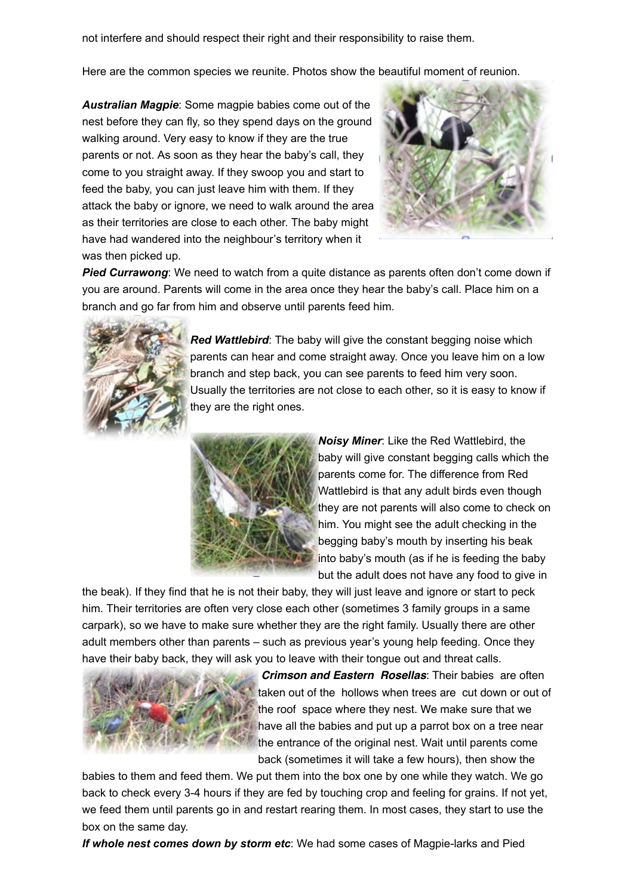not interfere and should respect their right and their responsibility to raise them.

Here are the common species we reunite. Photos show the beautiful moment of reunion.

*Australian Magpie*: Some magpie babies come out of the nest before they can fly, so they spend days on the ground walking around. Very easy to know if they are the true parents or not. As soon as they hear the baby's call, they come to you straight away. If they swoop you and start to feed the baby, you can just leave him with them. If they attack the baby or ignore, we need to walk around the area as their territories are close to each other. The baby might have had wandered into the neighbour's territory when it was then picked up.



**Pied Currawong**: We need to watch from a quite distance as parents often don't come down if you are around. Parents will come in the area once they hear the baby's call. Place him on a branch and go far from him and observe until parents feed him.



*Red Wattlebird*: The baby will give the constant begging noise which parents can hear and come straight away. Once you leave him on a low branch and step back, you can see parents to feed him very soon. Usually the territories are not close to each other, so it is easy to know if they are the right ones.



*Noisy Miner*: Like the Red Wattlebird, the baby will give constant begging calls which the parents come for. The difference from Red Wattlebird is that any adult birds even though they are not parents will also come to check on him. You might see the adult checking in the begging baby's mouth by inserting his beak into baby's mouth (as if he is feeding the baby but the adult does not have any food to give in

the beak). If they find that he is not their baby, they will just leave and ignore or start to peck him. Their territories are often very close each other (sometimes 3 family groups in a same carpark), so we have to make sure whether they are the right family. Usually there are other adult members other than parents – such as previous year's young help feeding. Once they have their baby back, they will ask you to leave with their tongue out and threat calls.



 *Crimson and Eastern Rosellas*: Their babies are often taken out of the hollows when trees are cut down or out of the roof space where they nest. We make sure that we have all the babies and put up a parrot box on a tree near the entrance of the original nest. Wait until parents come back (sometimes it will take a few hours), then show the

babies to them and feed them. We put them into the box one by one while they watch. We go back to check every 3-4 hours if they are fed by touching crop and feeling for grains. If not yet, we feed them until parents go in and restart rearing them. In most cases, they start to use the box on the same day.

*If whole nest comes down by storm etc*: We had some cases of Magpie-larks and Pied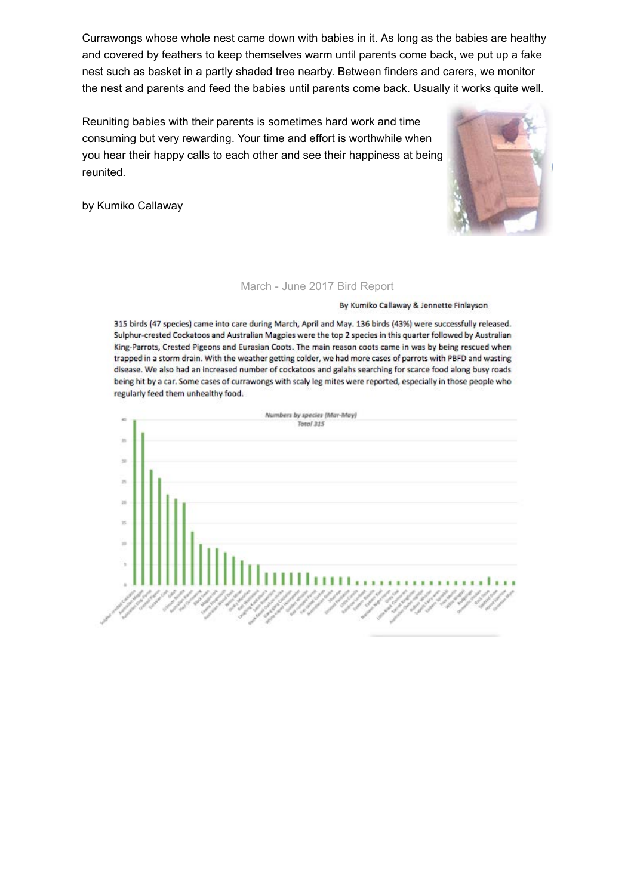Currawongs whose whole nest came down with babies in it. As long as the babies are healthy and covered by feathers to keep themselves warm until parents come back, we put up a fake nest such as basket in a partly shaded tree nearby. Between finders and carers, we monitor the nest and parents and feed the babies until parents come back. Usually it works quite well.

Reuniting babies with their parents is sometimes hard work and time consuming but very rewarding. Your time and effort is worthwhile when you hear their happy calls to each other and see their happiness at being reunited.



#### March - June 2017 Bird Report

By Kumiko Callaway & Jennette Finlayson

315 birds (47 species) came into care during March, April and May. 136 birds (43%) were successfully released. Sulphur-crested Cockatoos and Australian Magpies were the top 2 species in this quarter followed by Australian King-Parrots, Crested Pigeons and Eurasian Coots. The main reason coots came in was by being rescued when trapped in a storm drain. With the weather getting colder, we had more cases of parrots with PBFD and wasting disease. We also had an increased number of cockatoos and galahs searching for scarce food along busy roads being hit by a car. Some cases of currawongs with scaly leg mites were reported, especially in those people who regularly feed them unhealthy food.

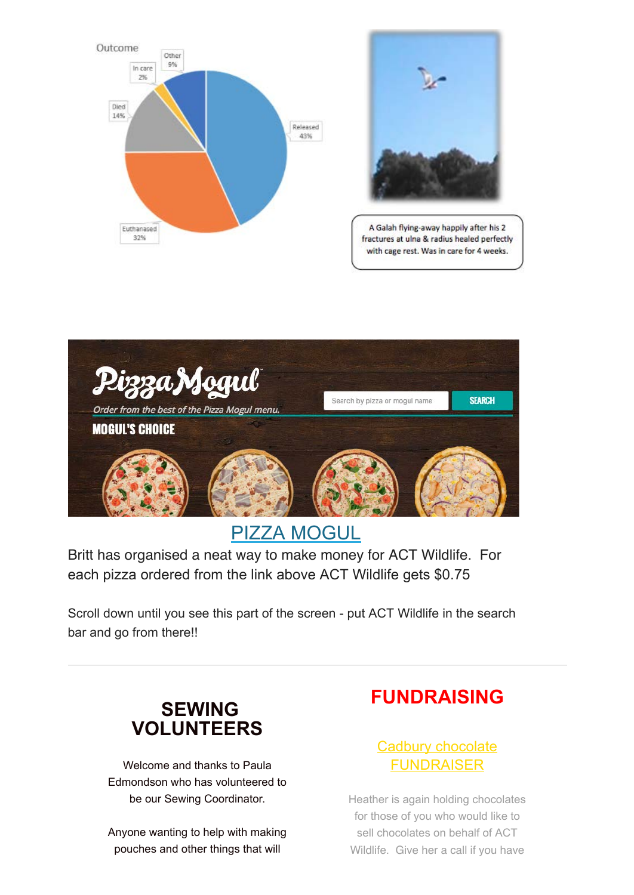



A Galah flying-away happily after his 2 fractures at ulna & radius healed perfectly with cage rest. Was in care for 4 weeks.



## [PIZZA MOGUL](https://internetorder.dominos.com.au/estore/en/ProductMenu)

Britt has organised a neat way to make money for ACT Wildlife. For each pizza ordered from the link above ACT Wildlife gets \$0.75

Scroll down until you see this part of the screen - put ACT Wildlife in the search bar and go from there!!

### **SEWING VOLUNTEERS**

Welcome and thanks to Paula Edmondson who has volunteered to be our Sewing Coordinator.

Anyone wanting to help with making pouches and other things that will

## **FUNDRAISING**

### Cadbury chocolate FUNDRAISER

Heather is again holding chocolates for those of you who would like to sell chocolates on behalf of ACT Wildlife. Give her a call if you have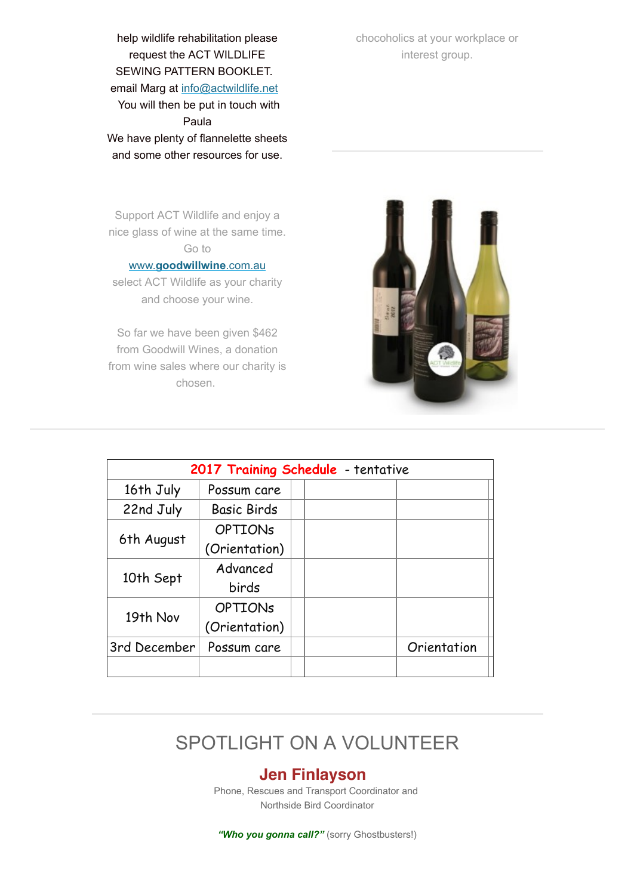help wildlife rehabilitation please request the ACT WILDLIFE SEWING PATTERN BOOKLET. email Marg at [info@actwildlife.net](mailto:info@actwildlife.com?subject=Sewing%20volunteer) You will then be put in touch with Paula We have plenty of flannelette sheets and some other resources for use.

chocoholics at your workplace or interest group.

Support ACT Wildlife and enjoy a nice glass of wine at the same time. Go to

#### www.**[goodwillwine](http://www.goodwillwine.com.au/)**.com.au

select ACT Wildlife as your charity and choose your wine.

So far we have been given \$462 from Goodwill Wines, a donation from wine sales where our charity is chosen.



| 2017 Training Schedule - tentative |                    |  |  |             |  |  |  |  |
|------------------------------------|--------------------|--|--|-------------|--|--|--|--|
| 16th July                          | Possum care        |  |  |             |  |  |  |  |
| 22nd July                          | <b>Basic Birds</b> |  |  |             |  |  |  |  |
| 6th August                         | <b>OPTIONS</b>     |  |  |             |  |  |  |  |
|                                    | (Orientation)      |  |  |             |  |  |  |  |
| 10th Sept                          | Advanced           |  |  |             |  |  |  |  |
|                                    | birds              |  |  |             |  |  |  |  |
| 19th Nov                           | <b>OPTIONS</b>     |  |  |             |  |  |  |  |
|                                    | (Orientation)      |  |  |             |  |  |  |  |
| 3rd December                       | Possum care        |  |  | Orientation |  |  |  |  |
|                                    |                    |  |  |             |  |  |  |  |

### SPOTLIGHT ON A VOLUNTEER

#### **Jen Finlayson**

Phone, Rescues and Transport Coordinator and Northside Bird Coordinator

*"Who you gonna call?"* (sorry Ghostbusters!)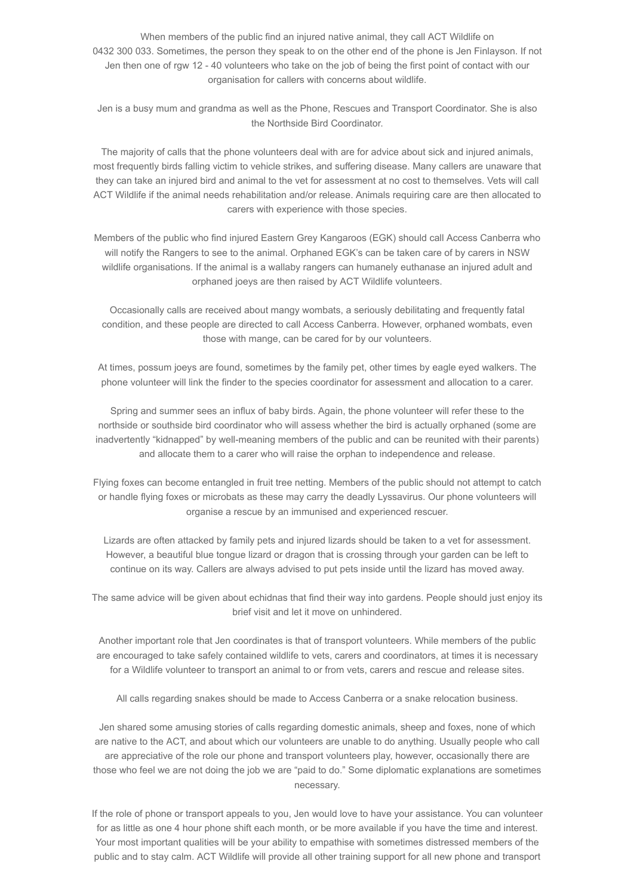When members of the public find an injured native animal, they call ACT Wildlife on 0432 300 033. Sometimes, the person they speak to on the other end of the phone is Jen Finlayson. If not Jen then one of rgw 12 - 40 volunteers who take on the job of being the first point of contact with our organisation for callers with concerns about wildlife.

Jen is a busy mum and grandma as well as the Phone, Rescues and Transport Coordinator. She is also the Northside Bird Coordinator.

The majority of calls that the phone volunteers deal with are for advice about sick and injured animals, most frequently birds falling victim to vehicle strikes, and suffering disease. Many callers are unaware that they can take an injured bird and animal to the vet for assessment at no cost to themselves. Vets will call ACT Wildlife if the animal needs rehabilitation and/or release. Animals requiring care are then allocated to carers with experience with those species.

Members of the public who find injured Eastern Grey Kangaroos (EGK) should call Access Canberra who will notify the Rangers to see to the animal. Orphaned EGK's can be taken care of by carers in NSW wildlife organisations. If the animal is a wallaby rangers can humanely euthanase an injured adult and orphaned joeys are then raised by ACT Wildlife volunteers.

Occasionally calls are received about mangy wombats, a seriously debilitating and frequently fatal condition, and these people are directed to call Access Canberra. However, orphaned wombats, even those with mange, can be cared for by our volunteers.

At times, possum joeys are found, sometimes by the family pet, other times by eagle eyed walkers. The phone volunteer will link the finder to the species coordinator for assessment and allocation to a carer.

Spring and summer sees an influx of baby birds. Again, the phone volunteer will refer these to the northside or southside bird coordinator who will assess whether the bird is actually orphaned (some are inadvertently "kidnapped" by well-meaning members of the public and can be reunited with their parents) and allocate them to a carer who will raise the orphan to independence and release.

Flying foxes can become entangled in fruit tree netting. Members of the public should not attempt to catch or handle flying foxes or microbats as these may carry the deadly Lyssavirus. Our phone volunteers will organise a rescue by an immunised and experienced rescuer.

Lizards are often attacked by family pets and injured lizards should be taken to a vet for assessment. However, a beautiful blue tongue lizard or dragon that is crossing through your garden can be left to continue on its way. Callers are always advised to put pets inside until the lizard has moved away.

The same advice will be given about echidnas that find their way into gardens. People should just enjoy its brief visit and let it move on unhindered.

Another important role that Jen coordinates is that of transport volunteers. While members of the public are encouraged to take safely contained wildlife to vets, carers and coordinators, at times it is necessary for a Wildlife volunteer to transport an animal to or from vets, carers and rescue and release sites.

All calls regarding snakes should be made to Access Canberra or a snake relocation business.

Jen shared some amusing stories of calls regarding domestic animals, sheep and foxes, none of which are native to the ACT, and about which our volunteers are unable to do anything. Usually people who call are appreciative of the role our phone and transport volunteers play, however, occasionally there are those who feel we are not doing the job we are "paid to do." Some diplomatic explanations are sometimes necessary.

If the role of phone or transport appeals to you, Jen would love to have your assistance. You can volunteer for as little as one 4 hour phone shift each month, or be more available if you have the time and interest. Your most important qualities will be your ability to empathise with sometimes distressed members of the public and to stay calm. ACT Wildlife will provide all other training support for all new phone and transport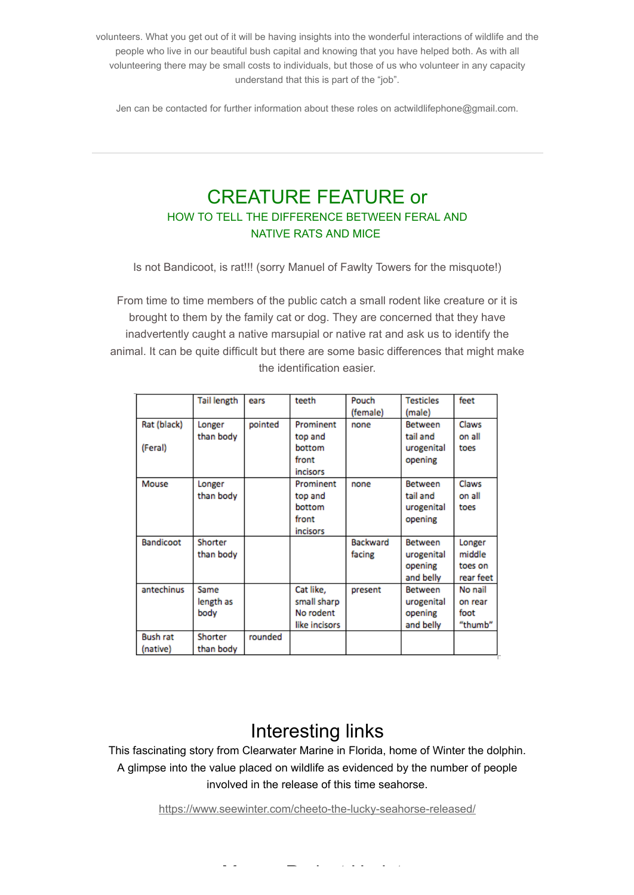volunteers. What you get out of it will be having insights into the wonderful interactions of wildlife and the people who live in our beautiful bush capital and knowing that you have helped both. As with all volunteering there may be small costs to individuals, but those of us who volunteer in any capacity understand that this is part of the "job".

Jen can be contacted for further information about these roles on actwildlifephone@gmail.com.

### CREATURE FEATURE or HOW TO TELL THE DIFFERENCE BETWEEN FERAL AND NATIVE RATS AND MICE

Is not Bandicoot, is rat!!! (sorry Manuel of Fawlty Towers for the misquote!)

From time to time members of the public catch a small rodent like creature or it is brought to them by the family cat or dog. They are concerned that they have inadvertently caught a native marsupial or native rat and ask us to identify the animal. It can be quite difficult but there are some basic differences that might make the identification easier.

|                  | <b>Tail length</b> | ears    | teeth         | Pouch           | <b>Testicles</b> | feet      |
|------------------|--------------------|---------|---------------|-----------------|------------------|-----------|
|                  |                    |         |               | (female)        | (male)           |           |
| Rat (black)      | Longer             | pointed | Prominent     | none            | <b>Between</b>   | Claws     |
|                  | than body          |         | top and       |                 | tail and         | on all    |
| (Feral)          |                    |         | bottom        |                 | urogenital       | toes      |
|                  |                    |         | front         |                 | opening          |           |
|                  |                    |         | incisors      |                 |                  |           |
| Mouse            | Longer             |         | Prominent     | none            | <b>Between</b>   | Claws     |
|                  | than body          |         | top and       |                 | tail and         | on all    |
|                  |                    |         | bottom        |                 | urogenital       | toes      |
|                  |                    |         | front         |                 | opening          |           |
|                  |                    |         | incisors      |                 |                  |           |
| <b>Bandicoot</b> | Shorter            |         |               | <b>Backward</b> | <b>Between</b>   | Longer    |
|                  | than body          |         |               | facing          | urogenital       | middle    |
|                  |                    |         |               |                 | opening          | toes on   |
|                  |                    |         |               |                 | and belly        | rear feet |
| antechinus       | Same               |         | Cat like,     | present         | <b>Between</b>   | No nail   |
|                  | length as          |         | small sharp   |                 | urogenital       | on rear   |
|                  | body               |         | No rodent     |                 | opening          | foot      |
|                  |                    |         | like incisors |                 | and belly        | "thumb"   |
| <b>Bush rat</b>  | Shorter            | rounded |               |                 |                  |           |
| (native)         | than body          |         |               |                 |                  |           |

### Interesting links

This fascinating story from Clearwater Marine in Florida, home of Winter the dolphin. A glimpse into the value placed on wildlife as evidenced by the number of people involved in the release of this time seahorse.

<https://www.seewinter.com/cheeto-the-lucky-seahorse-released/>

Mange Project Update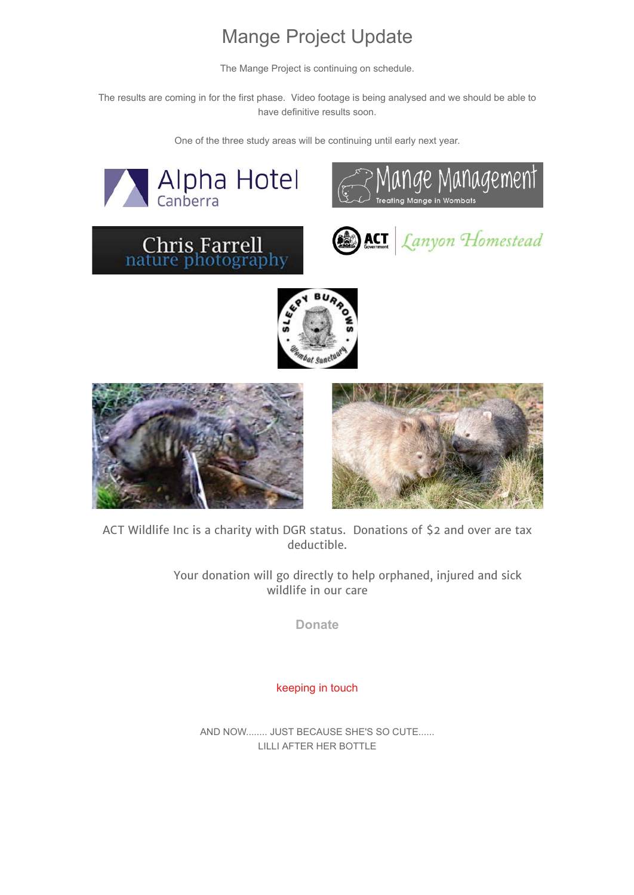## Mange Project Update

The Mange Project is continuing on schedule.

The results are coming in for the first phase. Video footage is being analysed and we should be able to have definitive results soon.

One of the three study areas will be continuing until early next year.



ACT Wildlife Inc is a charity with DGR status. Donations of \$2 and over are tax deductible.

> Your donation will go directly to help orphaned, injured and sick wildlife in our care

> > **[Donate](http://actwildlife.net/donation-info.html)**

keeping in touch

AND NOW........ JUST BECAUSE SHE'S SO CUTE...... LILLI AFTER HER BOTTLE